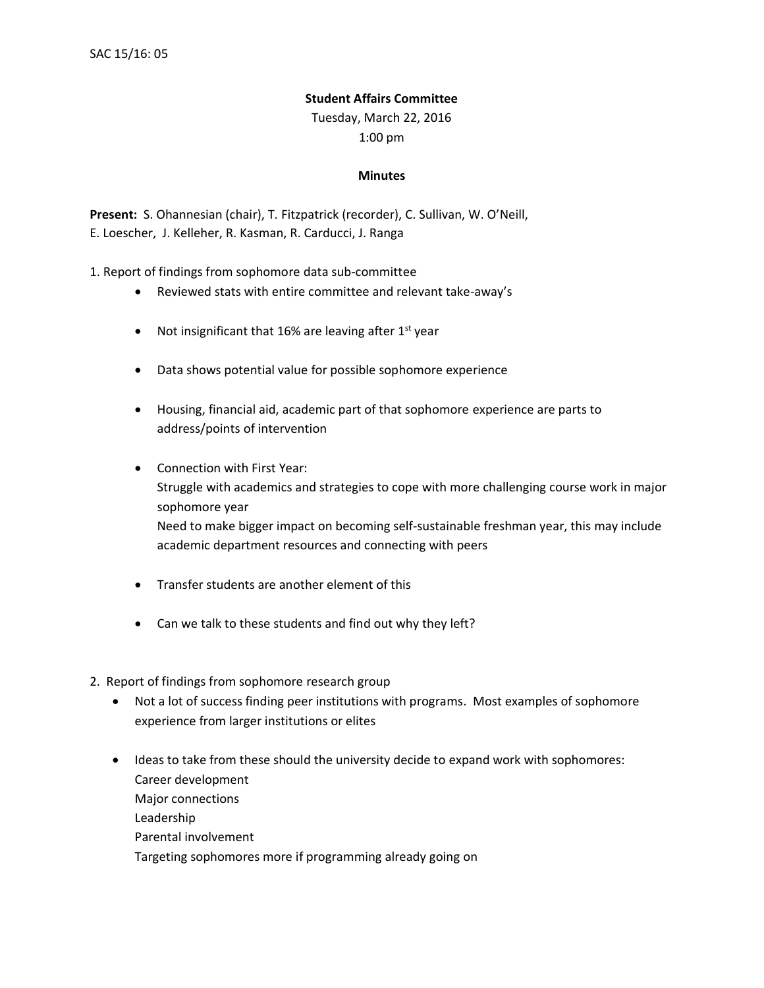## **Student Affairs Committee**

Tuesday, March 22, 2016 1:00 pm

## **Minutes**

**Present:** S. Ohannesian (chair), T. Fitzpatrick (recorder), C. Sullivan, W. O'Neill, E. Loescher, J. Kelleher, R. Kasman, R. Carducci, J. Ranga

1. Report of findings from sophomore data sub-committee

- Reviewed stats with entire committee and relevant take-away's
- Not insignificant that 16% are leaving after  $1<sup>st</sup>$  year
- Data shows potential value for possible sophomore experience
- Housing, financial aid, academic part of that sophomore experience are parts to address/points of intervention
- Connection with First Year: Struggle with academics and strategies to cope with more challenging course work in major sophomore year Need to make bigger impact on becoming self-sustainable freshman year, this may include academic department resources and connecting with peers
- Transfer students are another element of this
- Can we talk to these students and find out why they left?
- 2. Report of findings from sophomore research group
	- Not a lot of success finding peer institutions with programs. Most examples of sophomore experience from larger institutions or elites
	- Ideas to take from these should the university decide to expand work with sophomores: Career development Major connections Leadership Parental involvement Targeting sophomores more if programming already going on